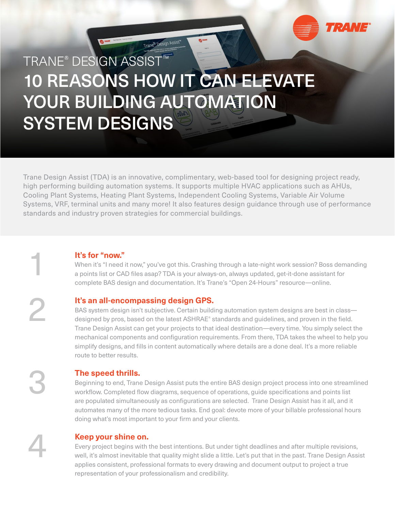

# TRANE® DESIGN ASSIST™ 10 REASONS HOW IT CAN ELEVATE YOUR BUILDING AUTOMATION SYSTEM DESIGNS

Trane® Design A

Trane Design Assist (TDA) is an innovative, complimentary, web-based tool for designing project ready, high performing building automation systems. It supports multiple HVAC applications such as AHUs, Cooling Plant Systems, Heating Plant Systems, Independent Cooling Systems, Variable Air Volume Systems, VRF, terminal units and many more! It also features design guidance through use of performance standards and industry proven strategies for commercial buildings.

**It's for "now."**<br>When it's "I need if<br>a points list or CAI When it's "I need it now," you've got this. Crashing through a late-night work session? Boss demanding a points list or CAD files asap? TDA is your always-on, always updated, get-it-done assistant for complete BAS design and documentation. It's Trane's "Open 24-Hours" resource—online.

# **It's an all-encompassing design GPS.**

BAS system design isn't subjective. Certain building automation system designs are best in class designed by pros, based on the latest ASHRAE® standards and guidelines, and proven in the field. Trane Design Assist can get your projects to that ideal destination—every time. You simply select the mechanical components and configuration requirements. From there, TDA takes the wheel to help you simplify designs, and fills in content automatically where details are a done deal. It's a more reliable route to better results.

# **The speed thrills.**

Beginning to end, Trane Design Assist puts the entire BAS design project process into one streamlined workflow. Completed flow diagrams, sequence of operations, guide specifications and points list are populated simultaneously as configurations are selected. Trane Design Assist has it all, and it automates many of the more tedious tasks. End goal: devote more of your billable professional hours doing what's most important to your firm and your clients.

**Keep your shine on.**<br>
Every project begins with<br>
well, it's almost inevitable<br>
somilia consistent prefer Every project begins with the best intentions. But under tight deadlines and after multiple revisions, well, it's almost inevitable that quality might slide a little. Let's put that in the past. Trane Design Assist applies consistent, professional formats to every drawing and document output to project a true representation of your professionalism and credibility.